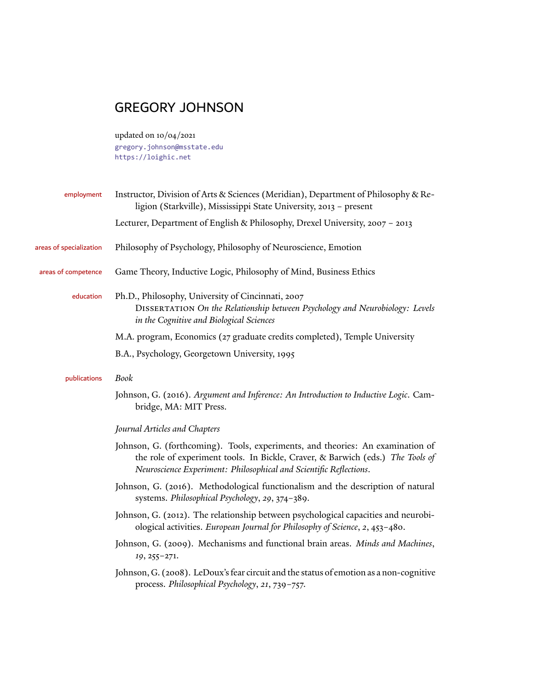# GREGORY JOHNSON

updated on 10/04/2021 [gregory.johnson@msstate.edu](mailto:gregory.johnson@msstate.edu) <https://loighic.net>

| employment              | Instructor, Division of Arts & Sciences (Meridian), Department of Philosophy & Re-<br>ligion (Starkville), Mississippi State University, 2013 - present                                                                                |  |
|-------------------------|----------------------------------------------------------------------------------------------------------------------------------------------------------------------------------------------------------------------------------------|--|
|                         | Lecturer, Department of English & Philosophy, Drexel University, 2007 - 2013                                                                                                                                                           |  |
| areas of specialization | Philosophy of Psychology, Philosophy of Neuroscience, Emotion                                                                                                                                                                          |  |
| areas of competence     | Game Theory, Inductive Logic, Philosophy of Mind, Business Ethics                                                                                                                                                                      |  |
| education               | Ph.D., Philosophy, University of Cincinnati, 2007<br>DISSERTATION On the Relationship between Psychology and Neurobiology: Levels<br>in the Cognitive and Biological Sciences                                                          |  |
|                         | M.A. program, Economics (27 graduate credits completed), Temple University                                                                                                                                                             |  |
|                         | B.A., Psychology, Georgetown University, 1995                                                                                                                                                                                          |  |
| publications            | Book                                                                                                                                                                                                                                   |  |
|                         | Johnson, G. (2016). Argument and Inference: An Introduction to Inductive Logic. Cam-<br>bridge, MA: MIT Press.                                                                                                                         |  |
|                         | Journal Articles and Chapters                                                                                                                                                                                                          |  |
|                         | Johnson, G. (forthcoming). Tools, experiments, and theories: An examination of<br>the role of experiment tools. In Bickle, Craver, & Barwich (eds.) The Tools of<br>Neuroscience Experiment: Philosophical and Scientific Reflections. |  |
|                         | Johnson, G. (2016). Methodological functionalism and the description of natural<br>systems. Philosophical Psychology, 29, 374-389.                                                                                                     |  |
|                         | Johnson, G. (2012). The relationship between psychological capacities and neurobi-<br>ological activities. European Journal for Philosophy of Science, 2, 453-480.                                                                     |  |
|                         | Johnson, G. (2009). Mechanisms and functional brain areas. Minds and Machines,<br>19, 255-271.                                                                                                                                         |  |
|                         | Johnson, G. (2008). LeDoux's fear circuit and the status of emotion as a non-cognitive<br>process. Philosophical Psychology, 21, 739-757.                                                                                              |  |
|                         |                                                                                                                                                                                                                                        |  |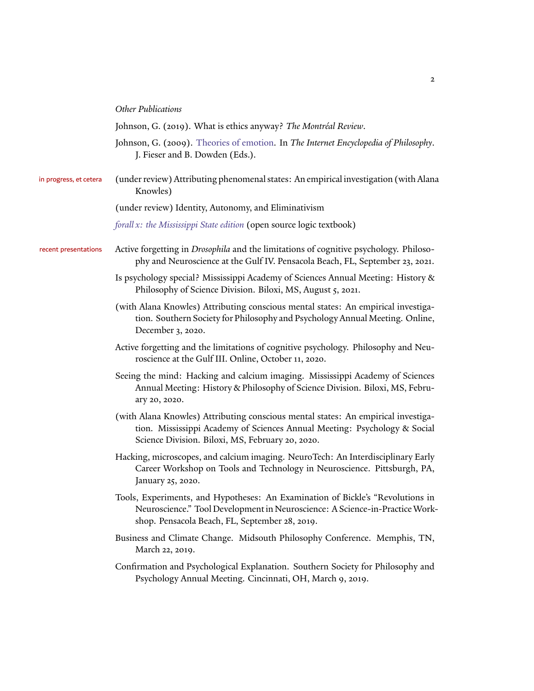| <b>Other Publications</b> |
|---------------------------|
|---------------------------|

|  |  | Johnson, G. (2019). What is ethics anyway? The Montréal Review. |
|--|--|-----------------------------------------------------------------|
|--|--|-----------------------------------------------------------------|

- Johnson, G. (2009). [Theories of emotion](http://www.iep.utm.edu/emotion/). In *The Internet Encyclopedia of Philosophy*. J. Fieser and B. Dowden (Eds.).
- in progress, et cetera (under review) Attributing phenomenal states: An empirical investigation (with Alana Knowles)

(under review) Identity, Autonomy, and Eliminativism

*[forall x: the Mississippi State edition](https://blog.loighic.net/forallx-the-mississippi-state-edition)* (open source logic textbook)

- recent presentations Active forgetting in *Drosophila* and the limitations of cognitive psychology. Philosophy and Neuroscience at the Gulf IV. Pensacola Beach, FL, September 23, 2021.
	- Is psychology special? Mississippi Academy of Sciences Annual Meeting: History & Philosophy of Science Division. Biloxi, MS, August 5, 2021.
	- (with Alana Knowles) Attributing conscious mental states: An empirical investigation. Southern Society for Philosophy and Psychology Annual Meeting. Online, December 3, 2020.
	- Active forgetting and the limitations of cognitive psychology. Philosophy and Neuroscience at the Gulf III. Online, October 11, 2020.
	- Seeing the mind: Hacking and calcium imaging. Mississippi Academy of Sciences Annual Meeting: History & Philosophy of Science Division. Biloxi, MS, February 20, 2020.
	- (with Alana Knowles) Attributing conscious mental states: An empirical investigation. Mississippi Academy of Sciences Annual Meeting: Psychology & Social Science Division. Biloxi, MS, February 20, 2020.
	- Hacking, microscopes, and calcium imaging. NeuroTech: An Interdisciplinary Early Career Workshop on Tools and Technology in Neuroscience. Pittsburgh, PA, January 25, 2020.
	- Tools, Experiments, and Hypotheses: An Examination of Bickle's "Revolutions in Neuroscience." Tool Development in Neuroscience: A Science-in-PracticeWorkshop. Pensacola Beach, FL, September 28, 2019.
	- Business and Climate Change. Midsouth Philosophy Conference. Memphis, TN, March 22, 2019.
	- Confirmation and Psychological Explanation. Southern Society for Philosophy and Psychology Annual Meeting. Cincinnati, OH, March 9, 2019.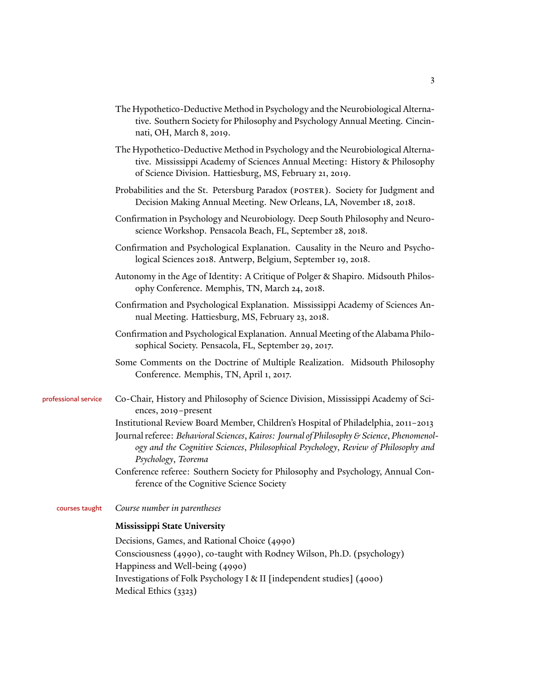- The Hypothetico-Deductive Method in Psychology and the Neurobiological Alternative. Southern Society for Philosophy and Psychology Annual Meeting. Cincinnati, OH, March 8, 2019.
- The Hypothetico-Deductive Method in Psychology and the Neurobiological Alternative. Mississippi Academy of Sciences Annual Meeting: History & Philosophy of Science Division. Hattiesburg, MS, February 21, 2019.
- Probabilities and the St. Petersburg Paradox (POSTER). Society for Judgment and Decision Making Annual Meeting. New Orleans, LA, November 18, 2018.
- Confirmation in Psychology and Neurobiology. Deep South Philosophy and Neuroscience Workshop. Pensacola Beach, FL, September 28, 2018.
- Confirmation and Psychological Explanation. Causality in the Neuro and Psychological Sciences 2018. Antwerp, Belgium, September 19, 2018.
- Autonomy in the Age of Identity: A Critique of Polger & Shapiro. Midsouth Philosophy Conference. Memphis, TN, March 24, 2018.
- Confirmation and Psychological Explanation. Mississippi Academy of Sciences Annual Meeting. Hattiesburg, MS, February 23, 2018.
- Confirmation and Psychological Explanation. Annual Meeting of the Alabama Philosophical Society. Pensacola, FL, September 29, 2017.
- Some Comments on the Doctrine of Multiple Realization. Midsouth Philosophy Conference. Memphis, TN, April 1, 2017.
- professional service Co-Chair, History and Philosophy of Science Division, Mississippi Academy of Sciences, 2019–present
	- Institutional Review Board Member, Children's Hospital of Philadelphia, 2011–2013
	- Journal referee: *Behavioral Sciences*,*Kairos: Journal of Philosophy & Science*, *Phenomenology and the Cognitive Sciences*, *Philosophical Psychology*, *Review of Philosophy and Psychology*, *Teorema*
	- Conference referee: Southern Society for Philosophy and Psychology, Annual Conference of the Cognitive Science Society

#### courses taught *Course number in parentheses*

#### **Mississippi State University**

Decisions, Games, and Rational Choice (4990) Consciousness (4990), co-taught with Rodney Wilson, Ph.D. (psychology) Happiness and Well-being (4990) Investigations of Folk Psychology I & II [independent studies] (4000) Medical Ethics (3323)